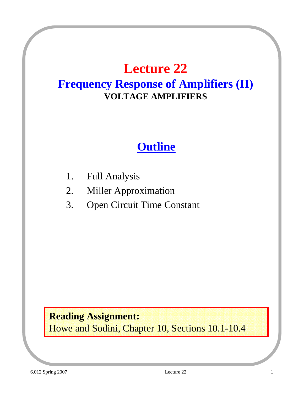# **Lecture 22**

#### **Frequency Response of Amplifiers (II) VOLTAGE AMPLIFIERS**

#### **Outline**

- 1. Full Analysis
- 2. Miller Approximation
- 3. Open Circuit Time Constant

#### **Reading Assignment:**

Howe and Sodini, Chapter 10, Sections 10.1-10.4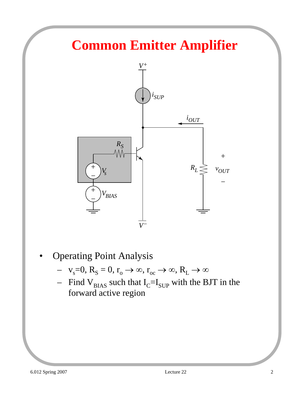# **Common Emitter Amplifier**



- Operating Point Analysis
	- $v_s=0$ ,  $R_s=0$ ,  $r_o \rightarrow \infty$ ,  $r_{oc} \rightarrow \infty$ ,  $R_L \rightarrow \infty$
	- Find  $V_{BIAS}$  such that  $I_{C} = I_{SUP}$  with the BJT in the forward active region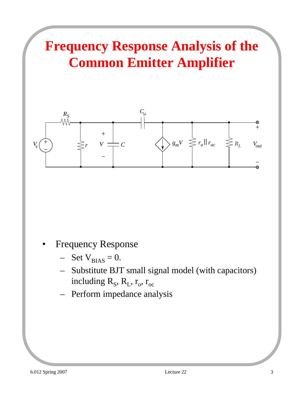# **Frequency Response Analysis of the Common Emitter Amplifier**



- **Frequency Response** 
	- $-$  Set  $V_{BIAS} = 0$ .
	- Substitute BJT small signal model (with capacitors) including  $R_S$ ,  $R_L$ ,  $r_o$ ,  $r_{oc}$
	- Perform impedance analysis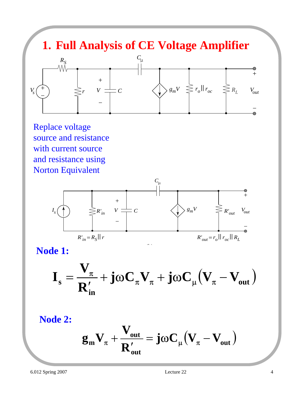#### **1. Full Analysis of CE Voltage Amplifier**  $R_S$ <br> $\frac{R_S}{\sqrt{N}}$  $C_{\mu}$



Replace voltage source and resistance with current source and resistance using Norton Equivalent



**Node 1:**

$$
I_s = \frac{V_{\pi}}{R'_{in}} + j\omega C_{\pi}V_{\pi} + j\omega C_{\mu}(V_{\pi} - V_{out})
$$

**Node 2:**

$$
g_m V_{\pi} + \frac{V_{out}}{R_{out}'} = j\omega C_{\mu} (V_{\pi} - V_{out})
$$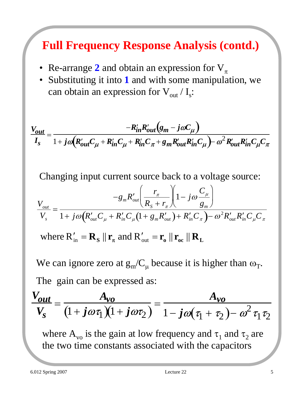## **Full Frequency Response Analysis (contd.)**

- Re-arrange 2 and obtain an expression for  $V_\tau$
- Substituting it into **1** and with some manipulation, we can obtain an expression for  $V_{\text{out}}/I_s$ :

$$
\frac{V_{out}}{I_s} = \frac{-R'_{in}R'_{out}(g_m - j\omega C_\mu)}{1 + j\omega(R'_{out}C_\mu + R'_{in}C_\mu + R'_{in}C_\pi + g_mR'_{out}R'_{in}C_\mu) - \omega^2 R'_{out}R'_{in}C_\mu C_\pi}
$$

Changing input current source back to a voltage source:

$$
\frac{V_{out}}{V_s} = \frac{-g_m R'_{out}}{1 + j\omega (R'_{out}C_{\mu} + R'_{in}C_{\mu}(1 + g_m R'_{out}) + R'_{in}C_{\pi})} = \frac{V_{out}}{1 + j\omega (R'_{out}C_{\mu} + R'_{in}C_{\mu}(1 + g_m R'_{out}) + R'_{in}C_{\pi}) - \omega^2 R'_{out}R'_{in}C_{\mu}C_{\pi}}
$$
  
where  $R'_{in} = \mathbf{R_s} || \mathbf{r}_{\pi}$  and  $R'_{out} = \mathbf{r_o} || \mathbf{r}_{oc} || \mathbf{R_L}$ 

The gain can be expressed as: We can ignore zero at  $g_{m}/C_{\mu}$  because it is higher than  $\omega_{T}$ .

$$
\frac{V_{out}}{V_s} = \frac{A_{vo}}{(1 + j\omega\tau_1)(1 + j\omega\tau_2)} = \frac{A_{vo}}{1 - j\omega(\tau_1 + \tau_2) - \omega^2\tau_1\tau_2}
$$

where  $A_{\nu_0}$  is the gain at low frequency and  $\tau_1$  and  $\tau_2$  are the two time constants associated with the capacitors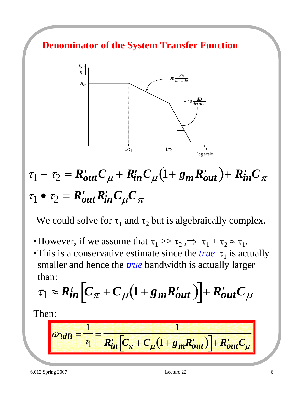#### **Denominator of the System Transfer Function**



# $\tau_1 + \tau_2 = R'_{out}C_{\mu} + R'_{in}C_{\mu}(1+g_mR'_{out}) + R'_{in}C_{\pi}$  $\tau_1 \bullet \tau_2 = R'_{out} R'_{in} C_u C_\pi$

We could solve for  $\tau_1$  and  $\tau_2$  but is algebraically complex.

- •However, if we assume that  $\tau_1 >> \tau_2 \implies \tau_1 + \tau_2 \approx \tau_1$ .
- •This is a conservative estimate since the *true*  $\tau_1$  is actually smaller and hence the *true* bandwidth is actually larger than:

$$
\tau_1 \approx R_{in}^t \left[ C_{\pi} + C_{\mu} (1 + g_m R_{out}') \right] + R_{out}' C_{\mu}
$$

Then:

$$
\omega_{3dB} = \frac{1}{\tau_1} = \frac{1}{R'_{in} \left[ C_{\pi} + C_{\mu} \left( 1 + g_m R'_{out} \right) \right] + R'_{out} C_{\mu}}
$$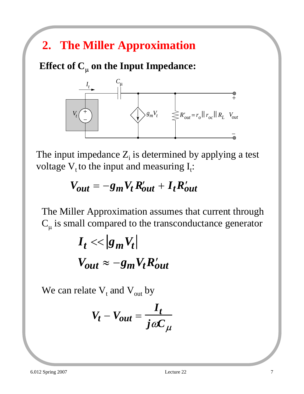## **2. The Miller Approximation**

**Effect of**  $C_\mu$  **on the Input Impedance:** 



The input impedance  $Z_i$  is determined by applying a test voltage  $V_t$  to the input and measuring  $I_t$ :

$$
V_{out} = -g_m V_t R'_{out} + I_t R'_{out}
$$

The Miller Approximation assumes that current through  $C_{\mu}$  is small compared to the transconductance generator

$$
I_t \ll |g_m V_t|
$$
  

$$
V_{out} \approx -g_m V_t R'_{out}
$$

We can relate  $V_t$  and  $V_{out}$  by

$$
V_t - V_{out} = \frac{I_t}{j\omega C_\mu}
$$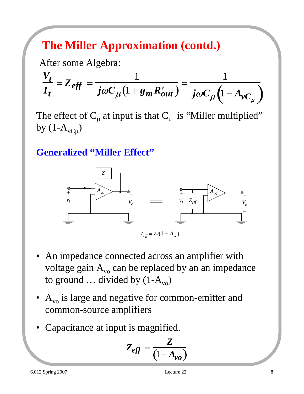## **The Miller Approximation (contd.)**

After some Algebra:

$$
\frac{V_t}{I_t} = Z_{eff} = \frac{1}{j\omega C_{\mu}(1 + g_m R'_{out})} = \frac{1}{j\omega C_{\mu}(1 - A_{\nu C_{\mu}})}
$$

The effect of  $C_{\mu}$  at input is that  $C_{\mu}$  is "Miller multiplied" by  $(1-A<sub>vCu</sub>)$ 

**Generalized "Miller Effect"**



- An impedance connected across an amplifier with voltage gain  $A_{\nu 0}$  can be replaced by an an impedance to ground  $\dots$  divided by  $(1-A_{\text{vo}})$
- $A_{\rm vo}$  is large and negative for common-emitter and common-source amplifiers
- Capacitance at input is magnified.

$$
Z_{eff} = \frac{Z}{\left(1 - A_{vo}\right)}
$$

6.012 Spring 2007 Lecture 22 8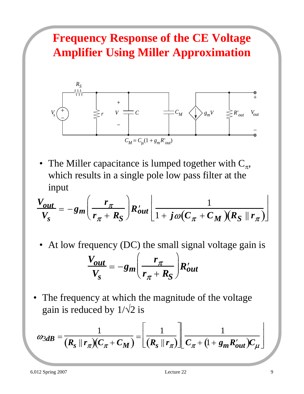## **Frequency Response of the CE Voltage Amplifier Using Miller Approximation**



• The Miller capacitance is lumped together with  $C_{\pi}$ , which results in a single pole low pass filter at the input

$$
\frac{V_{out}}{V_S} = -g_m \left( \frac{r_{\pi}}{r_{\pi} + R_S} \right) R'_{out} \left[ \frac{1}{1 + j \omega (C_{\pi} + C_M) (R_S \parallel r_{\pi})} \right]
$$

At low frequency (DC) the small signal voltage gain is

$$
\frac{V_{out}}{V_S} = -g_m \left(\frac{r_{\pi}}{r_{\pi} + R_S}\right) R'_{out}
$$

The frequency at which the magnitude of the voltage gain is reduced by  $1/\sqrt{2}$  is

$$
\omega_{3dB} = \frac{1}{(R_s \parallel r_\pi)(C_\pi + C_M)} = \left[\frac{1}{(R_s \parallel r_\pi)}\right] \frac{1}{C_\pi + (1 + g_m R'_{out})C_\mu}
$$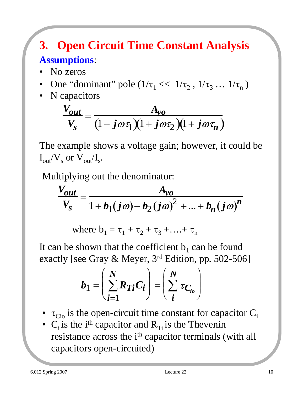### **3. Open Circuit Time Constant Analysis Assumptions**:

- No zeros
- One "dominant" pole  $(1/\tau_1 \ll 1/\tau_2, 1/\tau_3 \ldots 1/\tau_n)$
- N capacitors

$$
\frac{V_{out}}{V_s} = \frac{A_{vo}}{(1 + j\omega\tau_1)(1 + j\omega\tau_2)(1 + j\omega\tau_n)}
$$

The example shows a voltage gain; however, it could be  $I_{out}/V_s$  or  $V_{out}/I_s$ .

Multiplying out the denominator:

$$
\frac{V_{out}}{V_s} = \frac{A_{vo}}{1 + b_1(j\omega) + b_2(j\omega)^2 + ... + b_n(j\omega)^n}
$$

where  $b_1 = \tau_1 + \tau_2 + \tau_3 + ... + \tau_n$ 

It can be shown that the coefficient  $b_1$  can be found exactly [see Gray & Meyer,  $3<sup>rd</sup>$  Edition, pp. 502-506]

$$
b_1 = \left(\sum_{i=1}^N R_{Ti} C_i\right) = \left(\sum_i^N \tau_{C_{io}}\right)
$$

- $\tau_{\text{Cio}}$  is the open-circuit time constant for capacitor  $C_i$
- $C_i$  is the i<sup>th</sup> capacitor and  $R_{Ti}$  is the Thevenin resistance across the i<sup>th</sup> capacitor terminals (with all capacitors open-circuited)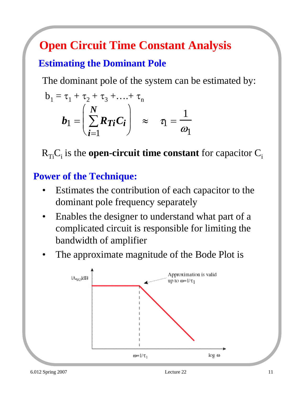## **Open Circuit Time Constant Analysis**

#### **Estimating the Dominant Pole**

The dominant pole of the system can be estimated by:

$$
b_1 = \tau_1 + \tau_2 + \tau_3 + \dots + \tau_n
$$
  
\n
$$
b_1 = \left(\sum_{i=1}^N R_{Ti} C_i\right) \approx \tau_1 = \frac{1}{\omega_1}
$$

 $R_{Ti}C_i$  is the **open-circuit time constant** for capacitor  $C_i$ 

#### **Power of the Technique:**

- Estimates the contribution of each capacitor to the dominant pole frequency separately
- Enables the designer to understand what part of a complicated circuit is responsible for limiting the bandwidth of amplifier
- The approximate magnitude of the Bode Plot is

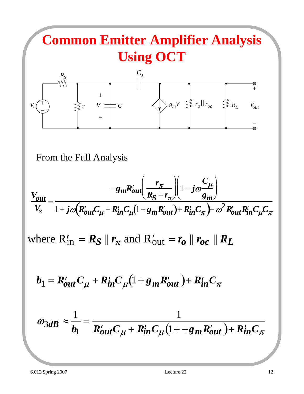

From the Full Analysis

$$
\frac{V_{out}}{V_s} = \frac{-g_m R'_{out} \left(\frac{r_\pi}{R_S + r_\pi}\right) \left(1 - j\omega \frac{C_\mu}{g_m}\right)}{1 + j\omega (R'_{out} C_\mu + R'_{in} C_\mu \left(1 + g_m R'_{out}\right) + R'_{in} C_\pi) - \omega^2 R'_{out} R'_{in} C_\mu C_\pi}
$$

where  $R'_{in} = R_S \parallel r_\pi$  and  $R'_{out} = r_o \parallel r_{oc} \parallel R_L$ 

$$
b_1 = R'_{out}C_\mu + R'_{in}C_\mu(1 + g_m R'_{out}) + R'_{in}C_\pi
$$

$$
\omega_{3dB} \approx \frac{1}{b_1} = \frac{1}{R'_{out}C_{\mu} + R'_{in}C_{\mu}(1 + \epsilon_{m}R'_{out}) + R'_{in}C_{\pi}}
$$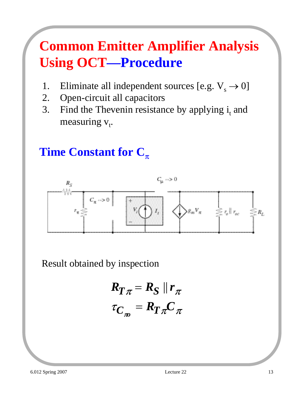# **Common Emitter Amplifier Analysis Using OCT—Procedure**

- 1. Eliminate all independent sources [e.g.  $V_s \rightarrow 0$ ]
- 2. Open-circuit all capacitors
- 3. Find the Thevenin resistance by applying  $i_t$  and measuring v<sub>t</sub>.

#### **Time Constant for C**<sub>π</sub>



Result obtained by inspection

$$
R_{T\pi} = R_{S} || r_{\pi}
$$

$$
\tau_{C_{\pi}} = R_{T\pi} C_{\pi}
$$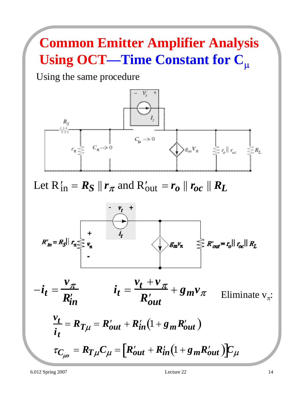# **Common Emitter Amplifier Analysis Using OCT—Time Constant for C**<sup>µ</sup>

Using the same procedure



Let  $R'_{in} = R_S \parallel r_\pi$  and  $R'_{out} = r_o \parallel r_{oc} \parallel R_L$ 





 $\tau_{C_{\mu o}} = R_{T\mu}C_{\mu} = [R'_{out} + R'_{in}(1 + g_{m}R'_{out})]C_{\mu}$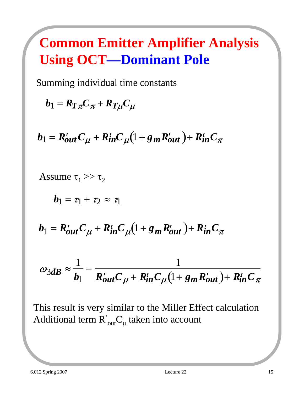# **Common Emitter Amplifier Analysis Using OCT—Dominant Pole**

Summing individual time constants

 $b_1 = R_T \pi C \pi + R_T \mu C \mu$ 

 $b_1 = R'_{out}C_\mu + R'_{in}C_\mu (1 + g_mR'_{out}) + R'_{in}C_\pi$ 

Assume 
$$
\tau_1 >> \tau_2
$$
  
\n
$$
b_1 = \tau_1 + \tau_2 \approx \tau_1
$$
\n
$$
b_1 = R'_{out}C_{\mu} + R'_{in}C_{\mu}(1 + g_m R'_{out}) + R'_{in}C_{\pi}
$$
\n
$$
\omega_{3dB} \approx \frac{1}{b_1} = \frac{1}{R'_{out}C_{\mu} + R'_{in}C_{\mu}(1 + g_m R'_{out}) + R'_{in}C_{\pi}}
$$

This result is very similar to the Miller Effect calculation Additional term  $R^{'}_{\phantom{\sigma} \textrm{out}} C_{\mu}$  taken into account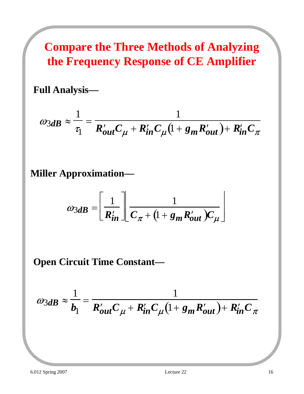**Compare the Three Methods of Analyzing the Frequency Response of CE Amplifier**

**Full Analysis—**

$$
\omega_{3dB} \approx \frac{1}{\tau_1} = \frac{1}{R'_{out}C_{\mu} + R'_{in}C_{\mu}(1 + g_m R'_{out}) + R'_{in}C_{\pi}}
$$

**Miller Approximation—**

$$
\omega_{3dB} = \left[\frac{1}{R'_{in}}\right] \frac{1}{C_{\pi} + (1 + g_m R'_{out})C_{\mu}}
$$

**Open Circuit Time Constant—**

$$
\omega_{3dB} \approx \frac{1}{b_1} = \frac{1}{R'_{out}C_{\mu} + R'_{in}C_{\mu}(1 + g_m R'_{out}) + R'_{in}C_{\pi}}
$$